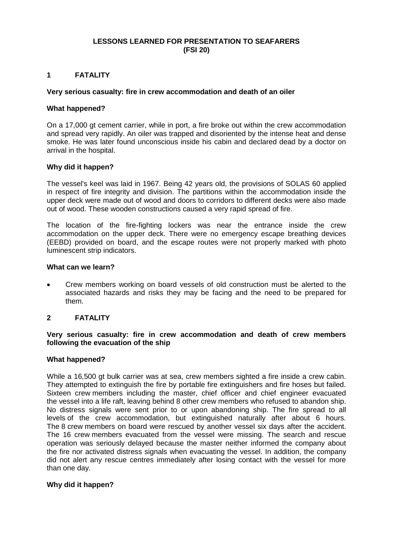### **LESSONS LEARNED FOR PRESENTATION TO SEAFARERS (FSI 20)**

#### **1 FATALITY**

#### **Very serious casualty: fire in crew accommodation and death of an oiler**

#### **What happened?**

On a 17,000 gt cement carrier, while in port, a fire broke out within the crew accommodation and spread very rapidly. An oiler was trapped and disoriented by the intense heat and dense smoke. He was later found unconscious inside his cabin and declared dead by a doctor on arrival in the hospital.

#### **Why did it happen?**

The vessel's keel was laid in 1967. Being 42 years old, the provisions of SOLAS 60 applied in respect of fire integrity and division. The partitions within the accommodation inside the upper deck were made out of wood and doors to corridors to different decks were also made out of wood. These wooden constructions caused a very rapid spread of fire.

The location of the fire-fighting lockers was near the entrance inside the crew accommodation on the upper deck. There were no emergency escape breathing devices (EEBD) provided on board, and the escape routes were not properly marked with photo luminescent strip indicators.

#### **What can we learn?**

 Crew members working on board vessels of old construction must be alerted to the associated hazards and risks they may be facing and the need to be prepared for them.

#### **2 FATALITY**

#### **Very serious casualty: fire in crew accommodation and death of crew members following the evacuation of the ship**

#### **What happened?**

While a 16,500 gt bulk carrier was at sea, crew members sighted a fire inside a crew cabin. They attempted to extinguish the fire by portable fire extinguishers and fire hoses but failed. Sixteen crew members including the master, chief officer and chief engineer evacuated the vessel into a life raft, leaving behind 8 other crew members who refused to abandon ship. No distress signals were sent prior to or upon abandoning ship. The fire spread to all levels of the crew accommodation, but extinguished naturally after about 6 hours. The 8 crew members on board were rescued by another vessel six days after the accident. The 16 crew members evacuated from the vessel were missing. The search and rescue operation was seriously delayed because the master neither informed the company about the fire nor activated distress signals when evacuating the vessel. In addition, the company did not alert any rescue centres immediately after losing contact with the vessel for more than one day.

#### **Why did it happen?**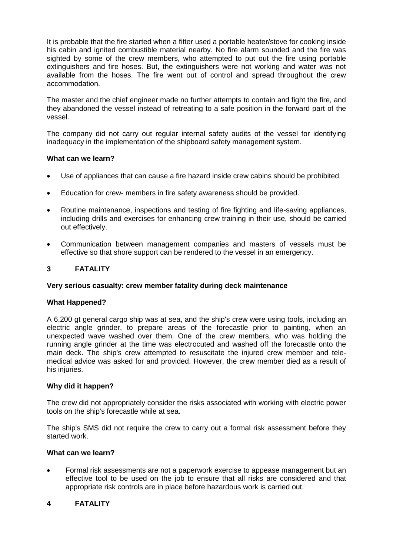It is probable that the fire started when a fitter used a portable heater/stove for cooking inside his cabin and ignited combustible material nearby. No fire alarm sounded and the fire was sighted by some of the crew members, who attempted to put out the fire using portable extinguishers and fire hoses. But, the extinguishers were not working and water was not available from the hoses. The fire went out of control and spread throughout the crew accommodation.

The master and the chief engineer made no further attempts to contain and fight the fire, and they abandoned the vessel instead of retreating to a safe position in the forward part of the vessel.

The company did not carry out regular internal safety audits of the vessel for identifying inadequacy in the implementation of the shipboard safety management system.

## **What can we learn?**

- Use of appliances that can cause a fire hazard inside crew cabins should be prohibited.
- Education for crew- members in fire safety awareness should be provided.
- Routine maintenance, inspections and testing of fire fighting and life-saving appliances, including drills and exercises for enhancing crew training in their use, should be carried out effectively.
- Communication between management companies and masters of vessels must be effective so that shore support can be rendered to the vessel in an emergency.

# **3 FATALITY**

## **Very serious casualty: crew member fatality during deck maintenance**

## **What Happened?**

A 6,200 gt general cargo ship was at sea, and the ship's crew were using tools, including an electric angle grinder, to prepare areas of the forecastle prior to painting, when an unexpected wave washed over them. One of the crew members, who was holding the running angle grinder at the time was electrocuted and washed off the forecastle onto the main deck. The ship's crew attempted to resuscitate the injured crew member and telemedical advice was asked for and provided. However, the crew member died as a result of his injuries.

## **Why did it happen?**

The crew did not appropriately consider the risks associated with working with electric power tools on the ship's forecastle while at sea.

The ship's SMS did not require the crew to carry out a formal risk assessment before they started work.

## **What can we learn?**

 Formal risk assessments are not a paperwork exercise to appease management but an effective tool to be used on the job to ensure that all risks are considered and that appropriate risk controls are in place before hazardous work is carried out.

# **4 FATALITY**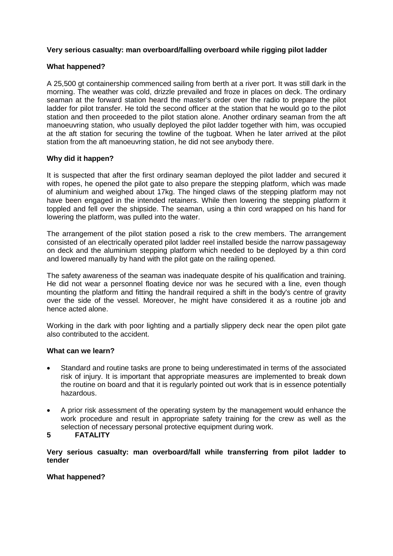## **Very serious casualty: man overboard/falling overboard while rigging pilot ladder**

# **What happened?**

A 25,500 gt containership commenced sailing from berth at a river port. It was still dark in the morning. The weather was cold, drizzle prevailed and froze in places on deck. The ordinary seaman at the forward station heard the master's order over the radio to prepare the pilot ladder for pilot transfer. He told the second officer at the station that he would go to the pilot station and then proceeded to the pilot station alone. Another ordinary seaman from the aft manoeuvring station, who usually deployed the pilot ladder together with him, was occupied at the aft station for securing the towline of the tugboat. When he later arrived at the pilot station from the aft manoeuvring station, he did not see anybody there.

# **Why did it happen?**

It is suspected that after the first ordinary seaman deployed the pilot ladder and secured it with ropes, he opened the pilot gate to also prepare the stepping platform, which was made of aluminium and weighed about 17kg. The hinged claws of the stepping platform may not have been engaged in the intended retainers. While then lowering the stepping platform it toppled and fell over the shipside. The seaman, using a thin cord wrapped on his hand for lowering the platform, was pulled into the water.

The arrangement of the pilot station posed a risk to the crew members. The arrangement consisted of an electrically operated pilot ladder reel installed beside the narrow passageway on deck and the aluminium stepping platform which needed to be deployed by a thin cord and lowered manually by hand with the pilot gate on the railing opened.

The safety awareness of the seaman was inadequate despite of his qualification and training. He did not wear a personnel floating device nor was he secured with a line, even though mounting the platform and fitting the handrail required a shift in the body's centre of gravity over the side of the vessel. Moreover, he might have considered it as a routine job and hence acted alone.

Working in the dark with poor lighting and a partially slippery deck near the open pilot gate also contributed to the accident.

## **What can we learn?**

- Standard and routine tasks are prone to being underestimated in terms of the associated risk of injury. It is important that appropriate measures are implemented to break down the routine on board and that it is regularly pointed out work that is in essence potentially hazardous.
- A prior risk assessment of the operating system by the management would enhance the work procedure and result in appropriate safety training for the crew as well as the selection of necessary personal protective equipment during work.

## **5 FATALITY**

**Very serious casualty: man overboard/fall while transferring from pilot ladder to tender**

## **What happened?**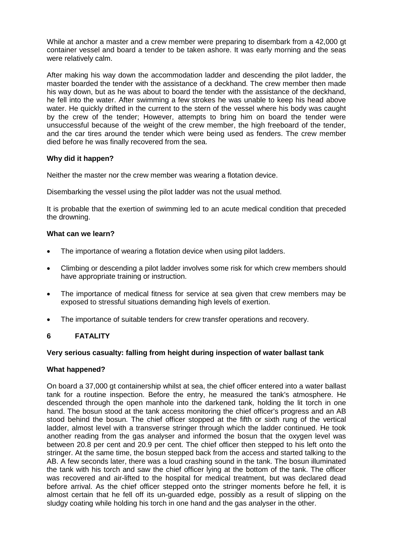While at anchor a master and a crew member were preparing to disembark from a 42,000 gt container vessel and board a tender to be taken ashore. It was early morning and the seas were relatively calm.

After making his way down the accommodation ladder and descending the pilot ladder, the master boarded the tender with the assistance of a deckhand. The crew member then made his way down, but as he was about to board the tender with the assistance of the deckhand, he fell into the water. After swimming a few strokes he was unable to keep his head above water. He quickly drifted in the current to the stern of the vessel where his body was caught by the crew of the tender; However, attempts to bring him on board the tender were unsuccessful because of the weight of the crew member, the high freeboard of the tender, and the car tires around the tender which were being used as fenders. The crew member died before he was finally recovered from the sea.

## **Why did it happen?**

Neither the master nor the crew member was wearing a flotation device.

Disembarking the vessel using the pilot ladder was not the usual method.

It is probable that the exertion of swimming led to an acute medical condition that preceded the drowning.

## **What can we learn?**

- The importance of wearing a flotation device when using pilot ladders.
- Climbing or descending a pilot ladder involves some risk for which crew members should have appropriate training or instruction.
- The importance of medical fitness for service at sea given that crew members may be exposed to stressful situations demanding high levels of exertion.
- The importance of suitable tenders for crew transfer operations and recovery.

# **6 FATALITY**

#### **Very serious casualty: falling from height during inspection of water ballast tank**

## **What happened?**

On board a 37,000 gt containership whilst at sea, the chief officer entered into a water ballast tank for a routine inspection. Before the entry, he measured the tank's atmosphere. He descended through the open manhole into the darkened tank, holding the lit torch in one hand. The bosun stood at the tank access monitoring the chief officer's progress and an AB stood behind the bosun. The chief officer stopped at the fifth or sixth rung of the vertical ladder, almost level with a transverse stringer through which the ladder continued. He took another reading from the gas analyser and informed the bosun that the oxygen level was between 20.8 per cent and 20.9 per cent. The chief officer then stepped to his left onto the stringer. At the same time, the bosun stepped back from the access and started talking to the AB. A few seconds later, there was a loud crashing sound in the tank. The bosun illuminated the tank with his torch and saw the chief officer lying at the bottom of the tank. The officer was recovered and air-lifted to the hospital for medical treatment, but was declared dead before arrival. As the chief officer stepped onto the stringer moments before he fell, it is almost certain that he fell off its un-guarded edge, possibly as a result of slipping on the sludgy coating while holding his torch in one hand and the gas analyser in the other.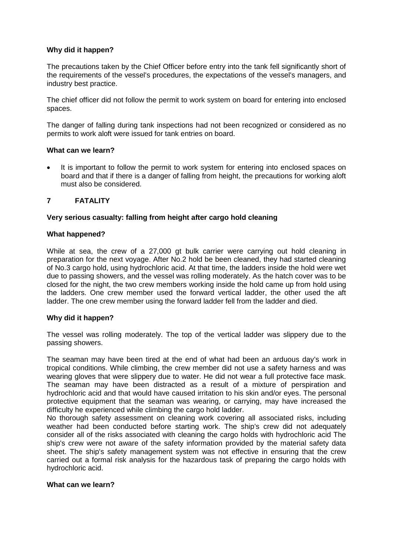## **Why did it happen?**

The precautions taken by the Chief Officer before entry into the tank fell significantly short of the requirements of the vessel's procedures, the expectations of the vessel's managers, and industry best practice.

The chief officer did not follow the permit to work system on board for entering into enclosed spaces.

The danger of falling during tank inspections had not been recognized or considered as no permits to work aloft were issued for tank entries on board.

## **What can we learn?**

It is important to follow the permit to work system for entering into enclosed spaces on board and that if there is a danger of falling from height, the precautions for working aloft must also be considered.

## **7 FATALITY**

### **Very serious casualty: falling from height after cargo hold cleaning**

### **What happened?**

While at sea, the crew of a 27,000 gt bulk carrier were carrying out hold cleaning in preparation for the next voyage. After No.2 hold be been cleaned, they had started cleaning of No.3 cargo hold, using hydrochloric acid. At that time, the ladders inside the hold were wet due to passing showers, and the vessel was rolling moderately. As the hatch cover was to be closed for the night, the two crew members working inside the hold came up from hold using the ladders. One crew member used the forward vertical ladder, the other used the aft ladder. The one crew member using the forward ladder fell from the ladder and died.

#### **Why did it happen?**

The vessel was rolling moderately. The top of the vertical ladder was slippery due to the passing showers.

The seaman may have been tired at the end of what had been an arduous day's work in tropical conditions. While climbing, the crew member did not use a safety harness and was wearing gloves that were slippery due to water. He did not wear a full protective face mask. The seaman may have been distracted as a result of a mixture of perspiration and hydrochloric acid and that would have caused irritation to his skin and/or eyes. The personal protective equipment that the seaman was wearing, or carrying, may have increased the difficulty he experienced while climbing the cargo hold ladder.

No thorough safety assessment on cleaning work covering all associated risks, including weather had been conducted before starting work. The ship's crew did not adequately consider all of the risks associated with cleaning the cargo holds with hydrochloric acid The ship's crew were not aware of the safety information provided by the material safety data sheet. The ship's safety management system was not effective in ensuring that the crew carried out a formal risk analysis for the hazardous task of preparing the cargo holds with hydrochloric acid.

#### **What can we learn?**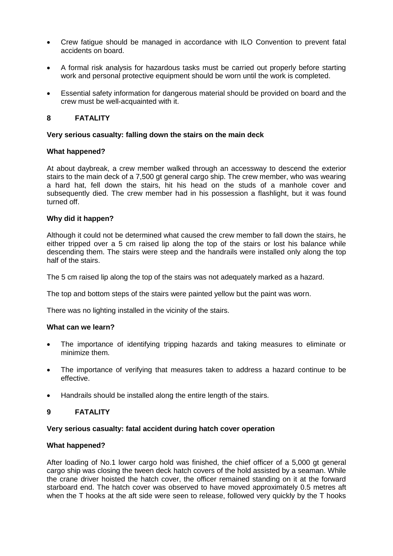- Crew fatigue should be managed in accordance with ILO Convention to prevent fatal accidents on board.
- A formal risk analysis for hazardous tasks must be carried out properly before starting work and personal protective equipment should be worn until the work is completed.
- Essential safety information for dangerous material should be provided on board and the crew must be well-acquainted with it.

## **8 FATALITY**

### **Very serious casualty: falling down the stairs on the main deck**

### **What happened?**

At about daybreak, a crew member walked through an accessway to descend the exterior stairs to the main deck of a 7,500 gt general cargo ship. The crew member, who was wearing a hard hat, fell down the stairs, hit his head on the studs of a manhole cover and subsequently died. The crew member had in his possession a flashlight, but it was found turned off.

### **Why did it happen?**

Although it could not be determined what caused the crew member to fall down the stairs, he either tripped over a 5 cm raised lip along the top of the stairs or lost his balance while descending them. The stairs were steep and the handrails were installed only along the top half of the stairs.

The 5 cm raised lip along the top of the stairs was not adequately marked as a hazard.

The top and bottom steps of the stairs were painted yellow but the paint was worn.

There was no lighting installed in the vicinity of the stairs.

#### **What can we learn?**

- The importance of identifying tripping hazards and taking measures to eliminate or minimize them.
- The importance of verifying that measures taken to address a hazard continue to be effective.
- Handrails should be installed along the entire length of the stairs.

#### **9 FATALITY**

#### **Very serious casualty: fatal accident during hatch cover operation**

#### **What happened?**

After loading of No.1 lower cargo hold was finished, the chief officer of a 5,000 gt general cargo ship was closing the tween deck hatch covers of the hold assisted by a seaman. While the crane driver hoisted the hatch cover, the officer remained standing on it at the forward starboard end. The hatch cover was observed to have moved approximately 0.5 metres aft when the T hooks at the aft side were seen to release, followed very quickly by the T hooks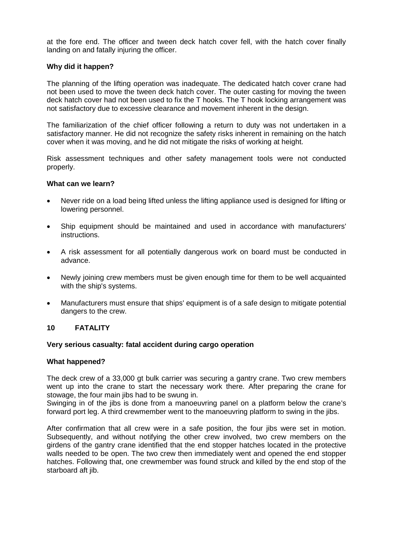at the fore end. The officer and tween deck hatch cover fell, with the hatch cover finally landing on and fatally injuring the officer.

## **Why did it happen?**

The planning of the lifting operation was inadequate. The dedicated hatch cover crane had not been used to move the tween deck hatch cover. The outer casting for moving the tween deck hatch cover had not been used to fix the T hooks. The T hook locking arrangement was not satisfactory due to excessive clearance and movement inherent in the design.

The familiarization of the chief officer following a return to duty was not undertaken in a satisfactory manner. He did not recognize the safety risks inherent in remaining on the hatch cover when it was moving, and he did not mitigate the risks of working at height.

Risk assessment techniques and other safety management tools were not conducted properly.

### **What can we learn?**

- Never ride on a load being lifted unless the lifting appliance used is designed for lifting or lowering personnel.
- Ship equipment should be maintained and used in accordance with manufacturers' instructions.
- A risk assessment for all potentially dangerous work on board must be conducted in advance.
- Newly joining crew members must be given enough time for them to be well acquainted with the ship's systems.
- Manufacturers must ensure that ships' equipment is of a safe design to mitigate potential dangers to the crew.

## **10 FATALITY**

#### **Very serious casualty: fatal accident during cargo operation**

## **What happened?**

The deck crew of a 33,000 gt bulk carrier was securing a gantry crane. Two crew members went up into the crane to start the necessary work there. After preparing the crane for stowage, the four main jibs had to be swung in.

Swinging in of the jibs is done from a manoeuvring panel on a platform below the crane's forward port leg. A third crewmember went to the manoeuvring platform to swing in the jibs.

After confirmation that all crew were in a safe position, the four jibs were set in motion. Subsequently, and without notifying the other crew involved, two crew members on the girdens of the gantry crane identified that the end stopper hatches located in the protective walls needed to be open. The two crew then immediately went and opened the end stopper hatches. Following that, one crewmember was found struck and killed by the end stop of the starboard aft jib.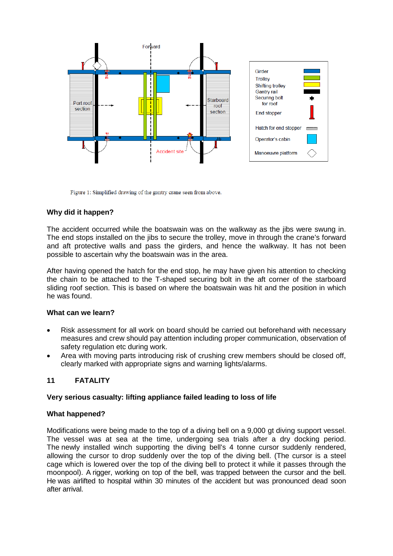

Figure 1: Simplified drawing of the gantry crane seen from above.

# **Why did it happen?**

The accident occurred while the boatswain was on the walkway as the jibs were swung in. The end stops installed on the jibs to secure the trolley, move in through the crane's forward and aft protective walls and pass the girders, and hence the walkway. It has not been possible to ascertain why the boatswain was in the area.

After having opened the hatch for the end stop, he may have given his attention to checking the chain to be attached to the T-shaped securing bolt in the aft corner of the starboard sliding roof section. This is based on where the boatswain was hit and the position in which he was found.

## **What can we learn?**

- Risk assessment for all work on board should be carried out beforehand with necessary measures and crew should pay attention including proper communication, observation of safety regulation etc during work.
- Area with moving parts introducing risk of crushing crew members should be closed off, clearly marked with appropriate signs and warning lights/alarms.

## **11 FATALITY**

## **Very serious casualty: lifting appliance failed leading to loss of life**

#### **What happened?**

Modifications were being made to the top of a diving bell on a 9,000 gt diving support vessel. The vessel was at sea at the time, undergoing sea trials after a dry docking period. The newly installed winch supporting the diving bell's 4 tonne cursor suddenly rendered, allowing the cursor to drop suddenly over the top of the diving bell. (The cursor is a steel cage which is lowered over the top of the diving bell to protect it while it passes through the moonpool). A rigger, working on top of the bell, was trapped between the cursor and the bell. He was airlifted to hospital within 30 minutes of the accident but was pronounced dead soon after arrival.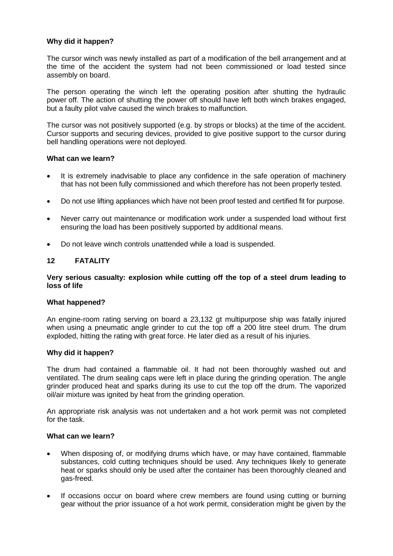## **Why did it happen?**

The cursor winch was newly installed as part of a modification of the bell arrangement and at the time of the accident the system had not been commissioned or load tested since assembly on board.

The person operating the winch left the operating position after shutting the hydraulic power off. The action of shutting the power off should have left both winch brakes engaged, but a faulty pilot valve caused the winch brakes to malfunction.

The cursor was not positively supported (e.g. by strops or blocks) at the time of the accident. Cursor supports and securing devices, provided to give positive support to the cursor during bell handling operations were not deployed.

### **What can we learn?**

- It is extremely inadvisable to place any confidence in the safe operation of machinery that has not been fully commissioned and which therefore has not been properly tested.
- Do not use lifting appliances which have not been proof tested and certified fit for purpose.
- Never carry out maintenance or modification work under a suspended load without first ensuring the load has been positively supported by additional means.
- Do not leave winch controls unattended while a load is suspended.

# **12 FATALITY**

#### **Very serious casualty: explosion while cutting off the top of a steel drum leading to loss of life**

#### **What happened?**

An engine-room rating serving on board a 23,132 gt multipurpose ship was fatally injured when using a pneumatic angle grinder to cut the top off a 200 litre steel drum. The drum exploded, hitting the rating with great force. He later died as a result of his injuries.

#### **Why did it happen?**

The drum had contained a flammable oil. It had not been thoroughly washed out and ventilated. The drum sealing caps were left in place during the grinding operation. The angle grinder produced heat and sparks during its use to cut the top off the drum. The vaporized oil/air mixture was ignited by heat from the grinding operation.

An appropriate risk analysis was not undertaken and a hot work permit was not completed for the task.

#### **What can we learn?**

- When disposing of, or modifying drums which have, or may have contained, flammable substances, cold cutting techniques should be used. Any techniques likely to generate heat or sparks should only be used after the container has been thoroughly cleaned and gas-freed.
- If occasions occur on board where crew members are found using cutting or burning gear without the prior issuance of a hot work permit, consideration might be given by the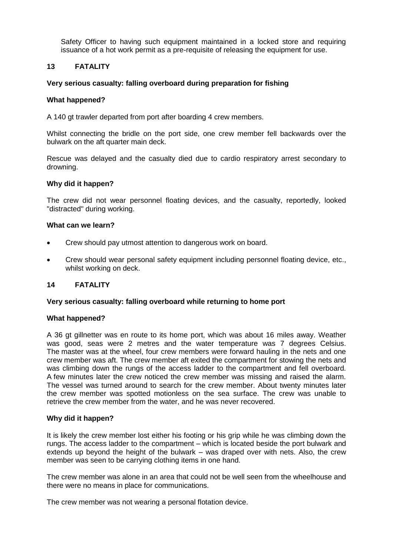Safety Officer to having such equipment maintained in a locked store and requiring issuance of a hot work permit as a pre-requisite of releasing the equipment for use.

## **13 FATALITY**

### **Very serious casualty: falling overboard during preparation for fishing**

#### **What happened?**

A 140 gt trawler departed from port after boarding 4 crew members.

Whilst connecting the bridle on the port side, one crew member fell backwards over the bulwark on the aft quarter main deck.

Rescue was delayed and the casualty died due to cardio respiratory arrest secondary to drowning.

#### **Why did it happen?**

The crew did not wear personnel floating devices, and the casualty, reportedly, looked "distracted" during working.

#### **What can we learn?**

- Crew should pay utmost attention to dangerous work on board.
- Crew should wear personal safety equipment including personnel floating device, etc., whilst working on deck.

#### **14 FATALITY**

#### **Very serious casualty: falling overboard while returning to home port**

#### **What happened?**

A 36 gt gillnetter was en route to its home port, which was about 16 miles away. Weather was good, seas were 2 metres and the water temperature was 7 degrees Celsius. The master was at the wheel, four crew members were forward hauling in the nets and one crew member was aft. The crew member aft exited the compartment for stowing the nets and was climbing down the rungs of the access ladder to the compartment and fell overboard. A few minutes later the crew noticed the crew member was missing and raised the alarm. The vessel was turned around to search for the crew member. About twenty minutes later the crew member was spotted motionless on the sea surface. The crew was unable to retrieve the crew member from the water, and he was never recovered.

#### **Why did it happen?**

It is likely the crew member lost either his footing or his grip while he was climbing down the rungs. The access ladder to the compartment – which is located beside the port bulwark and extends up beyond the height of the bulwark – was draped over with nets. Also, the crew member was seen to be carrying clothing items in one hand.

The crew member was alone in an area that could not be well seen from the wheelhouse and there were no means in place for communications.

The crew member was not wearing a personal flotation device.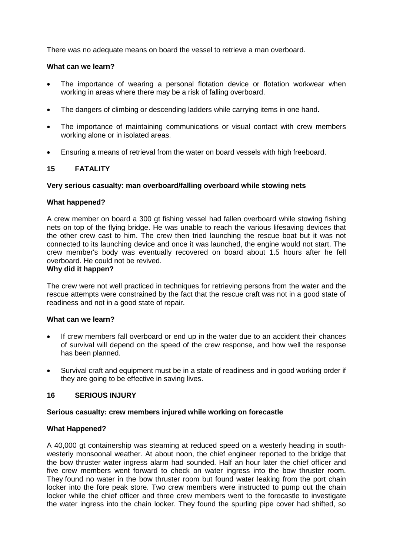There was no adequate means on board the vessel to retrieve a man overboard.

## **What can we learn?**

- The importance of wearing a personal flotation device or flotation workwear when working in areas where there may be a risk of falling overboard.
- The dangers of climbing or descending ladders while carrying items in one hand.
- The importance of maintaining communications or visual contact with crew members working alone or in isolated areas.
- Ensuring a means of retrieval from the water on board vessels with high freeboard.

# **15 FATALITY**

### **Very serious casualty: man overboard/falling overboard while stowing nets**

### **What happened?**

A crew member on board a 300 gt fishing vessel had fallen overboard while stowing fishing nets on top of the flying bridge. He was unable to reach the various lifesaving devices that the other crew cast to him. The crew then tried launching the rescue boat but it was not connected to its launching device and once it was launched, the engine would not start. The crew member's body was eventually recovered on board about 1.5 hours after he fell overboard. He could not be revived.

### **Why did it happen?**

The crew were not well practiced in techniques for retrieving persons from the water and the rescue attempts were constrained by the fact that the rescue craft was not in a good state of readiness and not in a good state of repair.

#### **What can we learn?**

- If crew members fall overboard or end up in the water due to an accident their chances of survival will depend on the speed of the crew response, and how well the response has been planned.
- Survival craft and equipment must be in a state of readiness and in good working order if they are going to be effective in saving lives.

## **16 SERIOUS INJURY**

#### **Serious casualty: crew members injured while working on forecastle**

#### **What Happened?**

A 40,000 gt containership was steaming at reduced speed on a westerly heading in southwesterly monsoonal weather. At about noon, the chief engineer reported to the bridge that the bow thruster water ingress alarm had sounded. Half an hour later the chief officer and five crew members went forward to check on water ingress into the bow thruster room. They found no water in the bow thruster room but found water leaking from the port chain locker into the fore peak store. Two crew members were instructed to pump out the chain locker while the chief officer and three crew members went to the forecastle to investigate the water ingress into the chain locker. They found the spurling pipe cover had shifted, so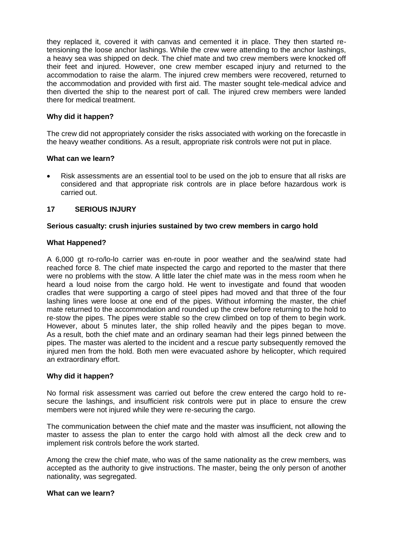they replaced it, covered it with canvas and cemented it in place. They then started retensioning the loose anchor lashings. While the crew were attending to the anchor lashings, a heavy sea was shipped on deck. The chief mate and two crew members were knocked off their feet and injured. However, one crew member escaped injury and returned to the accommodation to raise the alarm. The injured crew members were recovered, returned to the accommodation and provided with first aid. The master sought tele-medical advice and then diverted the ship to the nearest port of call. The injured crew members were landed there for medical treatment.

## **Why did it happen?**

The crew did not appropriately consider the risks associated with working on the forecastle in the heavy weather conditions. As a result, appropriate risk controls were not put in place.

## **What can we learn?**

 Risk assessments are an essential tool to be used on the job to ensure that all risks are considered and that appropriate risk controls are in place before hazardous work is carried out.

## **17 SERIOUS INJURY**

### **Serious casualty: crush injuries sustained by two crew members in cargo hold**

### **What Happened?**

A 6,000 gt ro-ro/lo-lo carrier was en-route in poor weather and the sea/wind state had reached force 8. The chief mate inspected the cargo and reported to the master that there were no problems with the stow. A little later the chief mate was in the mess room when he heard a loud noise from the cargo hold. He went to investigate and found that wooden cradles that were supporting a cargo of steel pipes had moved and that three of the four lashing lines were loose at one end of the pipes. Without informing the master, the chief mate returned to the accommodation and rounded up the crew before returning to the hold to re-stow the pipes. The pipes were stable so the crew climbed on top of them to begin work. However, about 5 minutes later, the ship rolled heavily and the pipes began to move. As a result, both the chief mate and an ordinary seaman had their legs pinned between the pipes. The master was alerted to the incident and a rescue party subsequently removed the injured men from the hold. Both men were evacuated ashore by helicopter, which required an extraordinary effort.

#### **Why did it happen?**

No formal risk assessment was carried out before the crew entered the cargo hold to resecure the lashings, and insufficient risk controls were put in place to ensure the crew members were not injured while they were re-securing the cargo.

The communication between the chief mate and the master was insufficient, not allowing the master to assess the plan to enter the cargo hold with almost all the deck crew and to implement risk controls before the work started.

Among the crew the chief mate, who was of the same nationality as the crew members, was accepted as the authority to give instructions. The master, being the only person of another nationality, was segregated.

#### **What can we learn?**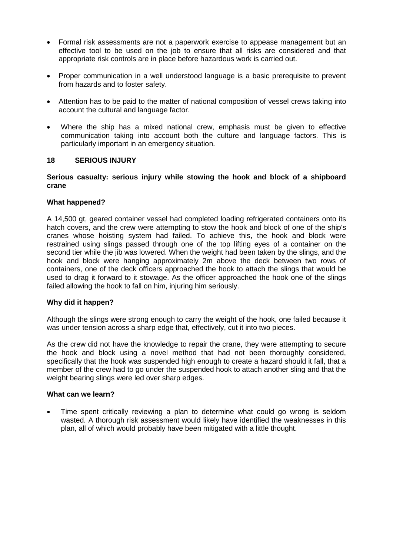- Formal risk assessments are not a paperwork exercise to appease management but an effective tool to be used on the job to ensure that all risks are considered and that appropriate risk controls are in place before hazardous work is carried out.
- Proper communication in a well understood language is a basic prerequisite to prevent from hazards and to foster safety.
- Attention has to be paid to the matter of national composition of vessel crews taking into account the cultural and language factor.
- Where the ship has a mixed national crew, emphasis must be given to effective communication taking into account both the culture and language factors. This is particularly important in an emergency situation.

### **18 SERIOUS INJURY**

### **Serious casualty: serious injury while stowing the hook and block of a shipboard crane**

### **What happened?**

A 14,500 gt, geared container vessel had completed loading refrigerated containers onto its hatch covers, and the crew were attempting to stow the hook and block of one of the ship's cranes whose hoisting system had failed. To achieve this, the hook and block were restrained using slings passed through one of the top lifting eyes of a container on the second tier while the jib was lowered. When the weight had been taken by the slings, and the hook and block were hanging approximately 2m above the deck between two rows of containers, one of the deck officers approached the hook to attach the slings that would be used to drag it forward to it stowage. As the officer approached the hook one of the slings failed allowing the hook to fall on him, injuring him seriously.

#### **Why did it happen?**

Although the slings were strong enough to carry the weight of the hook, one failed because it was under tension across a sharp edge that, effectively, cut it into two pieces.

As the crew did not have the knowledge to repair the crane, they were attempting to secure the hook and block using a novel method that had not been thoroughly considered, specifically that the hook was suspended high enough to create a hazard should it fall, that a member of the crew had to go under the suspended hook to attach another sling and that the weight bearing slings were led over sharp edges.

#### **What can we learn?**

 Time spent critically reviewing a plan to determine what could go wrong is seldom wasted. A thorough risk assessment would likely have identified the weaknesses in this plan, all of which would probably have been mitigated with a little thought.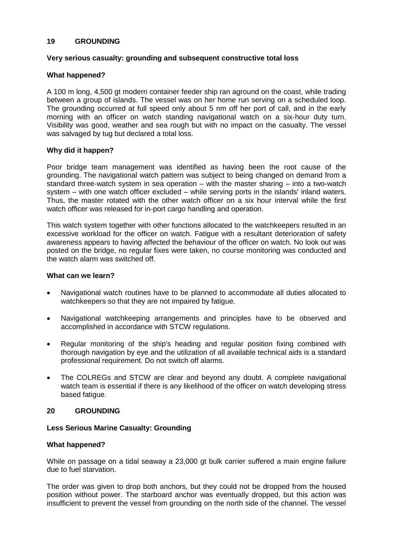### **19 GROUNDING**

### **Very serious casualty: grounding and subsequent constructive total loss**

### **What happened?**

A 100 m long, 4,500 gt modern container feeder ship ran aground on the coast, while trading between a group of islands. The vessel was on her home run serving on a scheduled loop. The grounding occurred at full speed only about 5 nm off her port of call, and in the early morning with an officer on watch standing navigational watch on a six-hour duty turn. Visibility was good, weather and sea rough but with no impact on the casualty. The vessel was salvaged by tug but declared a total loss.

### **Why did it happen?**

Poor bridge team management was identified as having been the root cause of the grounding. The navigational watch pattern was subject to being changed on demand from a standard three-watch system in sea operation – with the master sharing – into a two-watch system – with one watch officer excluded – while serving ports in the islands' inland waters. Thus, the master rotated with the other watch officer on a six hour interval while the first watch officer was released for in-port cargo handling and operation.

This watch system together with other functions allocated to the watchkeepers resulted in an excessive workload for the officer on watch. Fatigue with a resultant deterioration of safety awareness appears to having affected the behaviour of the officer on watch. No look out was posted on the bridge, no regular fixes were taken, no course monitoring was conducted and the watch alarm was switched off.

### **What can we learn?**

- Navigational watch routines have to be planned to accommodate all duties allocated to watch keepers so that they are not impaired by fatigue.
- Navigational watchkeeping arrangements and principles have to be observed and accomplished in accordance with STCW regulations.
- Regular monitoring of the ship's heading and regular position fixing combined with thorough navigation by eye and the utilization of all available technical aids is a standard professional requirement. Do not switch off alarms.
- The COLREGs and STCW are clear and beyond any doubt. A complete navigational watch team is essential if there is any likelihood of the officer on watch developing stress based fatigue.

#### **20 GROUNDING**

#### **Less Serious Marine Casualty: Grounding**

#### **What happened?**

While on passage on a tidal seaway a 23,000 gt bulk carrier suffered a main engine failure due to fuel starvation.

The order was given to drop both anchors, but they could not be dropped from the housed position without power. The starboard anchor was eventually dropped, but this action was insufficient to prevent the vessel from grounding on the north side of the channel. The vessel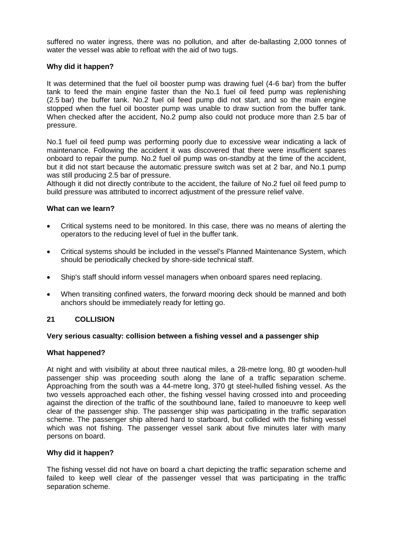suffered no water ingress, there was no pollution, and after de-ballasting 2,000 tonnes of water the vessel was able to refloat with the aid of two tugs.

## **Why did it happen?**

It was determined that the fuel oil booster pump was drawing fuel (4-6 bar) from the buffer tank to feed the main engine faster than the No.1 fuel oil feed pump was replenishing (2.5 bar) the buffer tank. No.2 fuel oil feed pump did not start, and so the main engine stopped when the fuel oil booster pump was unable to draw suction from the buffer tank. When checked after the accident, No.2 pump also could not produce more than 2.5 bar of pressure.

No.1 fuel oil feed pump was performing poorly due to excessive wear indicating a lack of maintenance. Following the accident it was discovered that there were insufficient spares onboard to repair the pump. No.2 fuel oil pump was on-standby at the time of the accident, but it did not start because the automatic pressure switch was set at 2 bar, and No.1 pump was still producing 2.5 bar of pressure.

Although it did not directly contribute to the accident, the failure of No.2 fuel oil feed pump to build pressure was attributed to incorrect adjustment of the pressure relief valve.

## **What can we learn?**

- Critical systems need to be monitored. In this case, there was no means of alerting the operators to the reducing level of fuel in the buffer tank.
- Critical systems should be included in the vessel's Planned Maintenance System, which should be periodically checked by shore-side technical staff.
- Ship's staff should inform vessel managers when onboard spares need replacing.
- When transiting confined waters, the forward mooring deck should be manned and both anchors should be immediately ready for letting go.

## **21 COLLISION**

## **Very serious casualty: collision between a fishing vessel and a passenger ship**

#### **What happened?**

At night and with visibility at about three nautical miles, a 28-metre long, 80 gt wooden-hull passenger ship was proceeding south along the lane of a traffic separation scheme. Approaching from the south was a 44-metre long, 370 gt steel-hulled fishing vessel. As the two vessels approached each other, the fishing vessel having crossed into and proceeding against the direction of the traffic of the southbound lane, failed to manoeuvre to keep well clear of the passenger ship. The passenger ship was participating in the traffic separation scheme. The passenger ship altered hard to starboard, but collided with the fishing vessel which was not fishing. The passenger vessel sank about five minutes later with many persons on board.

## **Why did it happen?**

The fishing vessel did not have on board a chart depicting the traffic separation scheme and failed to keep well clear of the passenger vessel that was participating in the traffic separation scheme.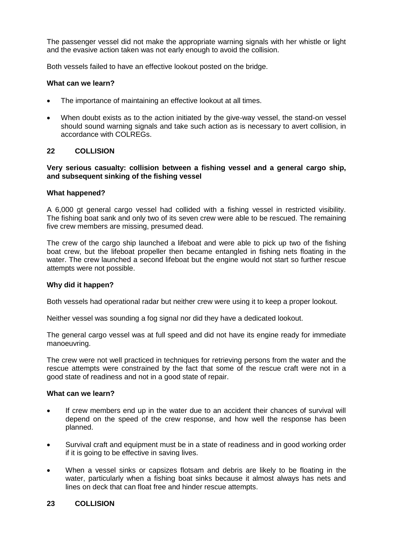The passenger vessel did not make the appropriate warning signals with her whistle or light and the evasive action taken was not early enough to avoid the collision.

Both vessels failed to have an effective lookout posted on the bridge.

### **What can we learn?**

- The importance of maintaining an effective lookout at all times.
- When doubt exists as to the action initiated by the give-way vessel, the stand-on vessel should sound warning signals and take such action as is necessary to avert collision, in accordance with COLREGs.

### **22 COLLISION**

**Very serious casualty: collision between a fishing vessel and a general cargo ship, and subsequent sinking of the fishing vessel**

#### **What happened?**

A 6,000 gt general cargo vessel had collided with a fishing vessel in restricted visibility. The fishing boat sank and only two of its seven crew were able to be rescued. The remaining five crew members are missing, presumed dead.

The crew of the cargo ship launched a lifeboat and were able to pick up two of the fishing boat crew, but the lifeboat propeller then became entangled in fishing nets floating in the water. The crew launched a second lifeboat but the engine would not start so further rescue attempts were not possible.

#### **Why did it happen?**

Both vessels had operational radar but neither crew were using it to keep a proper lookout.

Neither vessel was sounding a fog signal nor did they have a dedicated lookout.

The general cargo vessel was at full speed and did not have its engine ready for immediate manoeuvring.

The crew were not well practiced in techniques for retrieving persons from the water and the rescue attempts were constrained by the fact that some of the rescue craft were not in a good state of readiness and not in a good state of repair.

### **What can we learn?**

- If crew members end up in the water due to an accident their chances of survival will depend on the speed of the crew response, and how well the response has been planned.
- Survival craft and equipment must be in a state of readiness and in good working order if it is going to be effective in saving lives.
- When a vessel sinks or capsizes flotsam and debris are likely to be floating in the water, particularly when a fishing boat sinks because it almost always has nets and lines on deck that can float free and hinder rescue attempts.

## **23 COLLISION**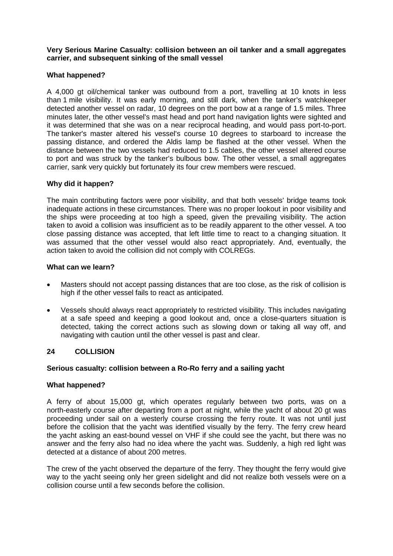**Very Serious Marine Casualty: collision between an oil tanker and a small aggregates carrier, and subsequent sinking of the small vessel**

### **What happened?**

A 4,000 gt oil/chemical tanker was outbound from a port, travelling at 10 knots in less than 1 mile visibility. It was early morning, and still dark, when the tanker's watchkeeper detected another vessel on radar, 10 degrees on the port bow at a range of 1.5 miles. Three minutes later, the other vessel's mast head and port hand navigation lights were sighted and it was determined that she was on a near reciprocal heading, and would pass port-to-port. The tanker's master altered his vessel's course 10 degrees to starboard to increase the passing distance, and ordered the Aldis lamp be flashed at the other vessel. When the distance between the two vessels had reduced to 1.5 cables, the other vessel altered course to port and was struck by the tanker's bulbous bow. The other vessel, a small aggregates carrier, sank very quickly but fortunately its four crew members were rescued.

#### **Why did it happen?**

The main contributing factors were poor visibility, and that both vessels' bridge teams took inadequate actions in these circumstances. There was no proper lookout in poor visibility and the ships were proceeding at too high a speed, given the prevailing visibility. The action taken to avoid a collision was insufficient as to be readily apparent to the other vessel. A too close passing distance was accepted, that left little time to react to a changing situation. It was assumed that the other vessel would also react appropriately. And, eventually, the action taken to avoid the collision did not comply with COLREGs.

### **What can we learn?**

- Masters should not accept passing distances that are too close, as the risk of collision is high if the other vessel fails to react as anticipated.
- Vessels should always react appropriately to restricted visibility. This includes navigating at a safe speed and keeping a good lookout and, once a close-quarters situation is detected, taking the correct actions such as slowing down or taking all way off, and navigating with caution until the other vessel is past and clear.

## **24 COLLISION**

#### **Serious casualty: collision between a Ro-Ro ferry and a sailing yacht**

#### **What happened?**

A ferry of about 15,000 gt, which operates regularly between two ports, was on a north-easterly course after departing from a port at night, while the yacht of about 20 gt was proceeding under sail on a westerly course crossing the ferry route. It was not until just before the collision that the yacht was identified visually by the ferry. The ferry crew heard the yacht asking an east-bound vessel on VHF if she could see the yacht, but there was no answer and the ferry also had no idea where the yacht was. Suddenly, a high red light was detected at a distance of about 200 metres.

The crew of the yacht observed the departure of the ferry. They thought the ferry would give way to the yacht seeing only her green sidelight and did not realize both vessels were on a collision course until a few seconds before the collision.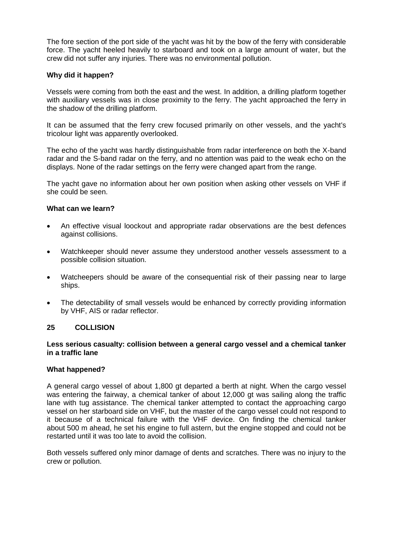The fore section of the port side of the yacht was hit by the bow of the ferry with considerable force. The yacht heeled heavily to starboard and took on a large amount of water, but the crew did not suffer any injuries. There was no environmental pollution.

### **Why did it happen?**

Vessels were coming from both the east and the west. In addition, a drilling platform together with auxiliary vessels was in close proximity to the ferry. The yacht approached the ferry in the shadow of the drilling platform.

It can be assumed that the ferry crew focused primarily on other vessels, and the yacht's tricolour light was apparently overlooked.

The echo of the yacht was hardly distinguishable from radar interference on both the X-band radar and the S-band radar on the ferry, and no attention was paid to the weak echo on the displays. None of the radar settings on the ferry were changed apart from the range.

The yacht gave no information about her own position when asking other vessels on VHF if she could be seen.

#### **What can we learn?**

- An effective visual loockout and appropriate radar observations are the best defences against collisions.
- Watchkeeper should never assume they understood another vessels assessment to a possible collision situation.
- Watcheepers should be aware of the consequential risk of their passing near to large ships.
- The detectability of small vessels would be enhanced by correctly providing information by VHF, AIS or radar reflector.

#### **25 COLLISION**

### **Less serious casualty: collision between a general cargo vessel and a chemical tanker in a traffic lane**

#### **What happened?**

A general cargo vessel of about 1,800 gt departed a berth at night. When the cargo vessel was entering the fairway, a chemical tanker of about 12,000 gt was sailing along the traffic lane with tug assistance. The chemical tanker attempted to contact the approaching cargo vessel on her starboard side on VHF, but the master of the cargo vessel could not respond to it because of a technical failure with the VHF device. On finding the chemical tanker about 500 m ahead, he set his engine to full astern, but the engine stopped and could not be restarted until it was too late to avoid the collision.

Both vessels suffered only minor damage of dents and scratches. There was no injury to the crew or pollution.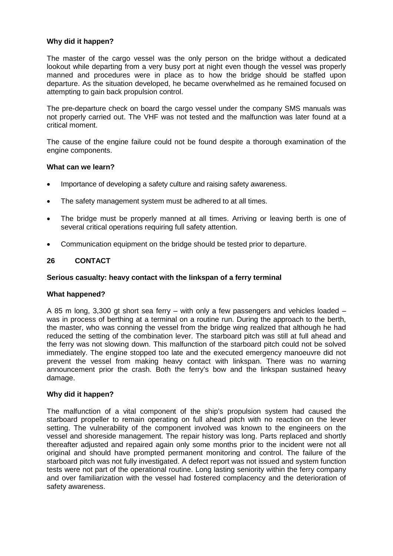## **Why did it happen?**

The master of the cargo vessel was the only person on the bridge without a dedicated lookout while departing from a very busy port at night even though the vessel was properly manned and procedures were in place as to how the bridge should be staffed upon departure. As the situation developed, he became overwhelmed as he remained focused on attempting to gain back propulsion control.

The pre-departure check on board the cargo vessel under the company SMS manuals was not properly carried out. The VHF was not tested and the malfunction was later found at a critical moment.

The cause of the engine failure could not be found despite a thorough examination of the engine components.

### **What can we learn?**

- Importance of developing a safety culture and raising safety awareness.
- The safety management system must be adhered to at all times.
- The bridge must be properly manned at all times. Arriving or leaving berth is one of several critical operations requiring full safety attention.
- Communication equipment on the bridge should be tested prior to departure.

## **26 CONTACT**

### **Serious casualty: heavy contact with the linkspan of a ferry terminal**

#### **What happened?**

A 85 m long, 3,300 gt short sea ferry – with only a few passengers and vehicles loaded – was in process of berthing at a terminal on a routine run. During the approach to the berth, the master, who was conning the vessel from the bridge wing realized that although he had reduced the setting of the combination lever. The starboard pitch was still at full ahead and the ferry was not slowing down. This malfunction of the starboard pitch could not be solved immediately. The engine stopped too late and the executed emergency manoeuvre did not prevent the vessel from making heavy contact with linkspan. There was no warning announcement prior the crash. Both the ferry's bow and the linkspan sustained heavy damage.

#### **Why did it happen?**

The malfunction of a vital component of the ship's propulsion system had caused the starboard propeller to remain operating on full ahead pitch with no reaction on the lever setting. The vulnerability of the component involved was known to the engineers on the vessel and shoreside management. The repair history was long. Parts replaced and shortly thereafter adjusted and repaired again only some months prior to the incident were not all original and should have prompted permanent monitoring and control. The failure of the starboard pitch was not fully investigated. A defect report was not issued and system function tests were not part of the operational routine. Long lasting seniority within the ferry company and over familiarization with the vessel had fostered complacency and the deterioration of safety awareness.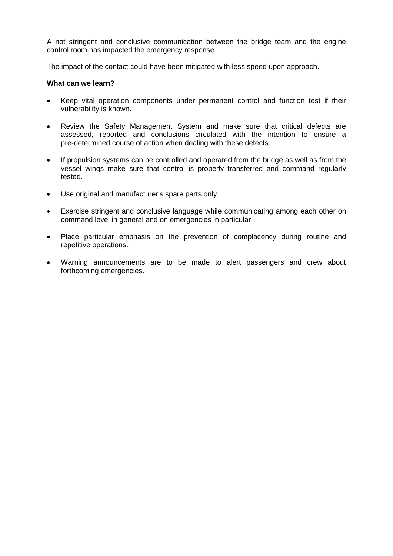A not stringent and conclusive communication between the bridge team and the engine control room has impacted the emergency response.

The impact of the contact could have been mitigated with less speed upon approach.

### **What can we learn?**

- Keep vital operation components under permanent control and function test if their vulnerability is known.
- Review the Safety Management System and make sure that critical defects are assessed, reported and conclusions circulated with the intention to ensure a pre-determined course of action when dealing with these defects.
- If propulsion systems can be controlled and operated from the bridge as well as from the vessel wings make sure that control is properly transferred and command regularly tested.
- Use original and manufacturer's spare parts only.
- Exercise stringent and conclusive language while communicating among each other on command level in general and on emergencies in particular.
- Place particular emphasis on the prevention of complacency during routine and repetitive operations.
- Warning announcements are to be made to alert passengers and crew about forthcoming emergencies.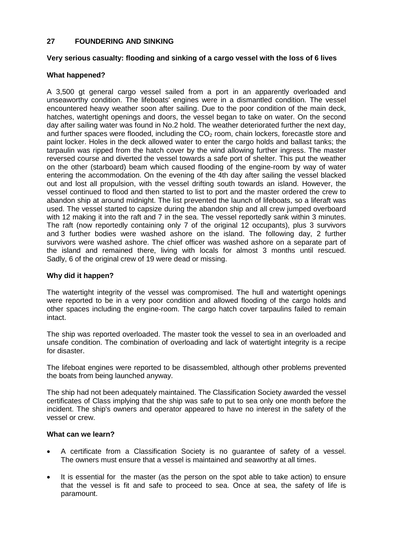## **27 FOUNDERING AND SINKING**

## **Very serious casualty: flooding and sinking of a cargo vessel with the loss of 6 lives**

### **What happened?**

A 3,500 gt general cargo vessel sailed from a port in an apparently overloaded and unseaworthy condition. The lifeboats' engines were in a dismantled condition. The vessel encountered heavy weather soon after sailing. Due to the poor condition of the main deck, hatches, watertight openings and doors, the vessel began to take on water. On the second day after sailing water was found in No.2 hold. The weather deteriorated further the next day, and further spaces were flooded, including the  $CO<sub>2</sub>$  room, chain lockers, forecastle store and paint locker. Holes in the deck allowed water to enter the cargo holds and ballast tanks; the tarpaulin was ripped from the hatch cover by the wind allowing further ingress. The master reversed course and diverted the vessel towards a safe port of shelter. This put the weather on the other (starboard) beam which caused flooding of the engine-room by way of water entering the accommodation. On the evening of the 4th day after sailing the vessel blacked out and lost all propulsion, with the vessel drifting south towards an island. However, the vessel continued to flood and then started to list to port and the master ordered the crew to abandon ship at around midnight. The list prevented the launch of lifeboats, so a liferaft was used. The vessel started to capsize during the abandon ship and all crew jumped overboard with 12 making it into the raft and 7 in the sea. The vessel reportedly sank within 3 minutes. The raft (now reportedly containing only 7 of the original 12 occupants), plus 3 survivors and 3 further bodies were washed ashore on the island. The following day, 2 further survivors were washed ashore. The chief officer was washed ashore on a separate part of the island and remained there, living with locals for almost 3 months until rescued. Sadly, 6 of the original crew of 19 were dead or missing.

### **Why did it happen?**

The watertight integrity of the vessel was compromised. The hull and watertight openings were reported to be in a very poor condition and allowed flooding of the cargo holds and other spaces including the engine-room. The cargo hatch cover tarpaulins failed to remain intact.

The ship was reported overloaded. The master took the vessel to sea in an overloaded and unsafe condition. The combination of overloading and lack of watertight integrity is a recipe for disaster.

The lifeboat engines were reported to be disassembled, although other problems prevented the boats from being launched anyway.

The ship had not been adequately maintained. The Classification Society awarded the vessel certificates of Class implying that the ship was safe to put to sea only one month before the incident. The ship's owners and operator appeared to have no interest in the safety of the vessel or crew.

#### **What can we learn?**

- A certificate from a Classification Society is no guarantee of safety of a vessel. The owners must ensure that a vessel is maintained and seaworthy at all times.
- It is essential for the master (as the person on the spot able to take action) to ensure that the vessel is fit and safe to proceed to sea. Once at sea, the safety of life is paramount.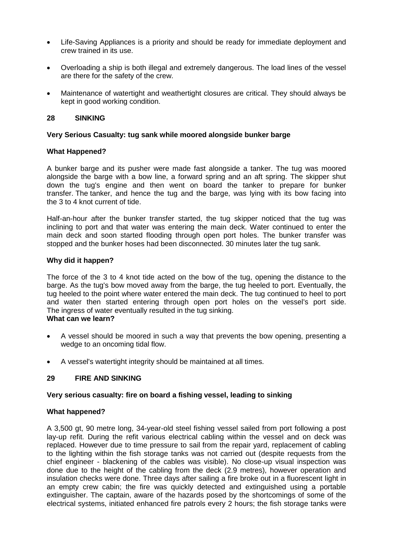- Life-Saving Appliances is a priority and should be ready for immediate deployment and crew trained in its use.
- Overloading a ship is both illegal and extremely dangerous. The load lines of the vessel are there for the safety of the crew.
- Maintenance of watertight and weathertight closures are critical. They should always be kept in good working condition.

### **28 SINKING**

### **Very Serious Casualty: tug sank while moored alongside bunker barge**

### **What Happened?**

A bunker barge and its pusher were made fast alongside a tanker. The tug was moored alongside the barge with a bow line, a forward spring and an aft spring. The skipper shut down the tug's engine and then went on board the tanker to prepare for bunker transfer. The tanker, and hence the tug and the barge, was lying with its bow facing into the 3 to 4 knot current of tide.

Half-an-hour after the bunker transfer started, the tug skipper noticed that the tug was inclining to port and that water was entering the main deck. Water continued to enter the main deck and soon started flooding through open port holes. The bunker transfer was stopped and the bunker hoses had been disconnected. 30 minutes later the tug sank.

#### **Why did it happen?**

The force of the 3 to 4 knot tide acted on the bow of the tug, opening the distance to the barge. As the tug's bow moved away from the barge, the tug heeled to port. Eventually, the tug heeled to the point where water entered the main deck. The tug continued to heel to port and water then started entering through open port holes on the vessel's port side. The ingress of water eventually resulted in the tug sinking.

#### **What can we learn?**

- A vessel should be moored in such a way that prevents the bow opening, presenting a wedge to an oncoming tidal flow.
- A vessel's watertight integrity should be maintained at all times.

#### **29 FIRE AND SINKING**

#### **Very serious casualty: fire on board a fishing vessel, leading to sinking**

#### **What happened?**

A 3,500 gt, 90 metre long, 34-year-old steel fishing vessel sailed from port following a post lay-up refit. During the refit various electrical cabling within the vessel and on deck was replaced. However due to time pressure to sail from the repair yard, replacement of cabling to the lighting within the fish storage tanks was not carried out (despite requests from the chief engineer - blackening of the cables was visible). No close-up visual inspection was done due to the height of the cabling from the deck (2.9 metres), however operation and insulation checks were done. Three days after sailing a fire broke out in a fluorescent light in an empty crew cabin; the fire was quickly detected and extinguished using a portable extinguisher. The captain, aware of the hazards posed by the shortcomings of some of the electrical systems, initiated enhanced fire patrols every 2 hours; the fish storage tanks were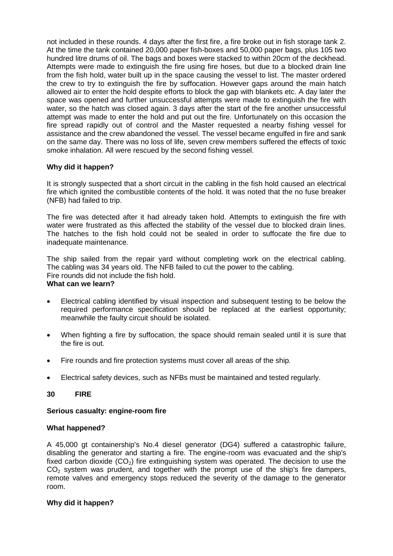not included in these rounds. 4 days after the first fire, a fire broke out in fish storage tank 2. At the time the tank contained 20,000 paper fish-boxes and 50,000 paper bags, plus 105 two hundred litre drums of oil. The bags and boxes were stacked to within 20cm of the deckhead. Attempts were made to extinguish the fire using fire hoses, but due to a blocked drain line from the fish hold, water built up in the space causing the vessel to list. The master ordered the crew to try to extinguish the fire by suffocation. However gaps around the main hatch allowed air to enter the hold despite efforts to block the gap with blankets etc. A day later the space was opened and further unsuccessful attempts were made to extinguish the fire with water, so the hatch was closed again. 3 days after the start of the fire another unsuccessful attempt was made to enter the hold and put out the fire. Unfortunately on this occasion the fire spread rapidly out of control and the Master requested a nearby fishing vessel for assistance and the crew abandoned the vessel. The vessel became engulfed in fire and sank on the same day. There was no loss of life, seven crew members suffered the effects of toxic smoke inhalation. All were rescued by the second fishing vessel.

## **Why did it happen?**

It is strongly suspected that a short circuit in the cabling in the fish hold caused an electrical fire which ignited the combustible contents of the hold. It was noted that the no fuse breaker (NFB) had failed to trip.

The fire was detected after it had already taken hold. Attempts to extinguish the fire with water were frustrated as this affected the stability of the vessel due to blocked drain lines. The hatches to the fish hold could not be sealed in order to suffocate the fire due to inadequate maintenance.

The ship sailed from the repair yard without completing work on the electrical cabling. The cabling was 34 years old. The NFB failed to cut the power to the cabling. Fire rounds did not include the fish hold. **What can we learn?**

- Electrical cabling identified by visual inspection and subsequent testing to be below the required performance specification should be replaced at the earliest opportunity; meanwhile the faulty circuit should be isolated.
- When fighting a fire by suffocation, the space should remain sealed until it is sure that the fire is out.
- Fire rounds and fire protection systems must cover all areas of the ship.
- Electrical safety devices, such as NFBs must be maintained and tested regularly.

## **30 FIRE**

## **Serious casualty: engine-room fire**

## **What happened?**

A 45,000 gt containership's No.4 diesel generator (DG4) suffered a catastrophic failure, disabling the generator and starting a fire. The engine-room was evacuated and the ship's fixed carbon dioxide  $(CO<sub>2</sub>)$  fire extinguishing system was operated. The decision to use the  $CO<sub>2</sub>$  system was prudent, and together with the prompt use of the ship's fire dampers, remote valves and emergency stops reduced the severity of the damage to the generator room.

## **Why did it happen?**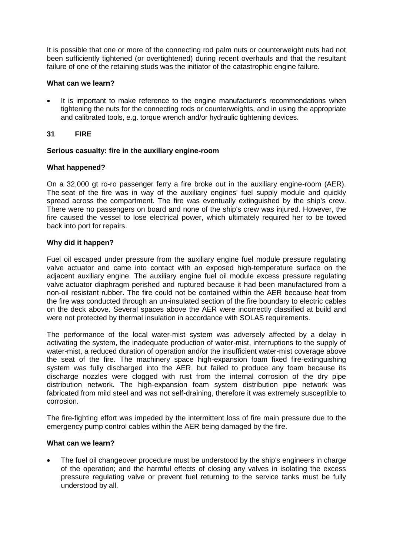It is possible that one or more of the connecting rod palm nuts or counterweight nuts had not been sufficiently tightened (or overtightened) during recent overhauls and that the resultant failure of one of the retaining studs was the initiator of the catastrophic engine failure.

## **What can we learn?**

 It is important to make reference to the engine manufacturer's recommendations when tightening the nuts for the connecting rods or counterweights, and in using the appropriate and calibrated tools, e.g. torque wrench and/or hydraulic tightening devices.

# **31 FIRE**

## **Serious casualty: fire in the auxiliary engine-room**

# **What happened?**

On a 32,000 gt ro-ro passenger ferry a fire broke out in the auxiliary engine-room (AER). The seat of the fire was in way of the auxiliary engines' fuel supply module and quickly spread across the compartment. The fire was eventually extinguished by the ship's crew. There were no passengers on board and none of the ship's crew was injured. However, the fire caused the vessel to lose electrical power, which ultimately required her to be towed back into port for repairs.

# **Why did it happen?**

Fuel oil escaped under pressure from the auxiliary engine fuel module pressure regulating valve actuator and came into contact with an exposed high-temperature surface on the adjacent auxiliary engine. The auxiliary engine fuel oil module excess pressure regulating valve actuator diaphragm perished and ruptured because it had been manufactured from a non-oil resistant rubber. The fire could not be contained within the AER because heat from the fire was conducted through an un-insulated section of the fire boundary to electric cables on the deck above. Several spaces above the AER were incorrectly classified at build and were not protected by thermal insulation in accordance with SOLAS requirements.

The performance of the local water-mist system was adversely affected by a delay in activating the system, the inadequate production of water-mist, interruptions to the supply of water-mist, a reduced duration of operation and/or the insufficient water-mist coverage above the seat of the fire. The machinery space high-expansion foam fixed fire-extinguishing system was fully discharged into the AER, but failed to produce any foam because its discharge nozzles were clogged with rust from the internal corrosion of the dry pipe distribution network. The high-expansion foam system distribution pipe network was fabricated from mild steel and was not self-draining, therefore it was extremely susceptible to corrosion.

The fire-fighting effort was impeded by the intermittent loss of fire main pressure due to the emergency pump control cables within the AER being damaged by the fire.

## **What can we learn?**

 The fuel oil changeover procedure must be understood by the ship's engineers in charge of the operation; and the harmful effects of closing any valves in isolating the excess pressure regulating valve or prevent fuel returning to the service tanks must be fully understood by all.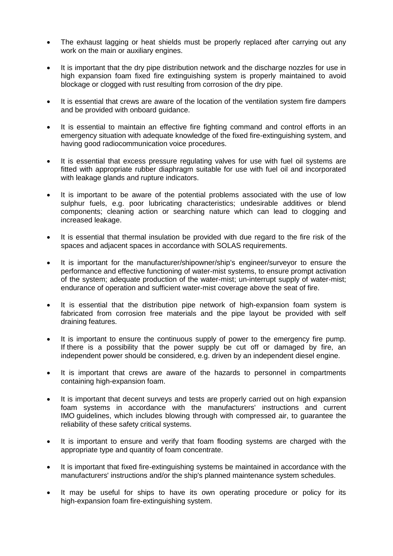- The exhaust lagging or heat shields must be properly replaced after carrying out any work on the main or auxiliary engines.
- It is important that the dry pipe distribution network and the discharge nozzles for use in high expansion foam fixed fire extinguishing system is properly maintained to avoid blockage or clogged with rust resulting from corrosion of the dry pipe.
- It is essential that crews are aware of the location of the ventilation system fire dampers and be provided with onboard guidance.
- It is essential to maintain an effective fire fighting command and control efforts in an emergency situation with adequate knowledge of the fixed fire-extinguishing system, and having good radiocommunication voice procedures.
- It is essential that excess pressure regulating valves for use with fuel oil systems are fitted with appropriate rubber diaphragm suitable for use with fuel oil and incorporated with leakage glands and rupture indicators.
- It is important to be aware of the potential problems associated with the use of low sulphur fuels, e.g. poor lubricating characteristics; undesirable additives or blend components; cleaning action or searching nature which can lead to clogging and increased leakage.
- It is essential that thermal insulation be provided with due regard to the fire risk of the spaces and adjacent spaces in accordance with SOLAS requirements.
- It is important for the manufacturer/shipowner/ship's engineer/surveyor to ensure the performance and effective functioning of water-mist systems, to ensure prompt activation of the system; adequate production of the water-mist; un-interrupt supply of water-mist; endurance of operation and sufficient water-mist coverage above the seat of fire.
- It is essential that the distribution pipe network of high-expansion foam system is fabricated from corrosion free materials and the pipe layout be provided with self draining features.
- It is important to ensure the continuous supply of power to the emergency fire pump. If there is a possibility that the power supply be cut off or damaged by fire, an independent power should be considered, e.g. driven by an independent diesel engine.
- It is important that crews are aware of the hazards to personnel in compartments containing high-expansion foam.
- It is important that decent surveys and tests are properly carried out on high expansion foam systems in accordance with the manufacturers' instructions and current IMO guidelines, which includes blowing through with compressed air, to guarantee the reliability of these safety critical systems.
- It is important to ensure and verify that foam flooding systems are charged with the appropriate type and quantity of foam concentrate.
- It is important that fixed fire-extinguishing systems be maintained in accordance with the manufacturers' instructions and/or the ship's planned maintenance system schedules.
- It may be useful for ships to have its own operating procedure or policy for its high-expansion foam fire-extinguishing system.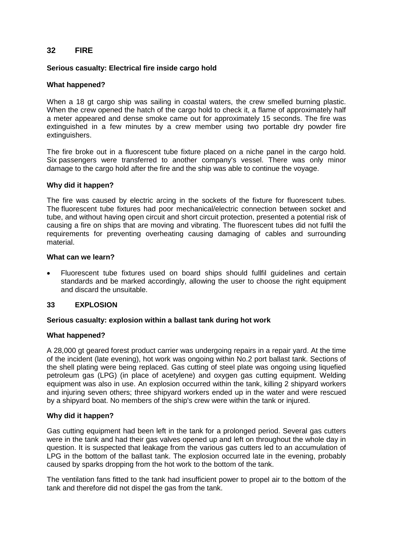# **32 FIRE**

## **Serious casualty: Electrical fire inside cargo hold**

### **What happened?**

When a 18 gt cargo ship was sailing in coastal waters, the crew smelled burning plastic. When the crew opened the hatch of the cargo hold to check it, a flame of approximately half a meter appeared and dense smoke came out for approximately 15 seconds. The fire was extinguished in a few minutes by a crew member using two portable dry powder fire extinguishers.

The fire broke out in a fluorescent tube fixture placed on a niche panel in the cargo hold. Six passengers were transferred to another company's vessel. There was only minor damage to the cargo hold after the fire and the ship was able to continue the voyage.

#### **Why did it happen?**

The fire was caused by electric arcing in the sockets of the fixture for fluorescent tubes. The fluorescent tube fixtures had poor mechanical/electric connection between socket and tube, and without having open circuit and short circuit protection, presented a potential risk of causing a fire on ships that are moving and vibrating. The fluorescent tubes did not fulfil the requirements for preventing overheating causing damaging of cables and surrounding material.

### **What can we learn?**

 Fluorescent tube fixtures used on board ships should fullfil guidelines and certain standards and be marked accordingly, allowing the user to choose the right equipment and discard the unsuitable.

## **33 EXPLOSION**

#### **Serious casualty: explosion within a ballast tank during hot work**

#### **What happened?**

A 28,000 gt geared forest product carrier was undergoing repairs in a repair yard. At the time of the incident (late evening), hot work was ongoing within No.2 port ballast tank. Sections of the shell plating were being replaced. Gas cutting of steel plate was ongoing using liquefied petroleum gas (LPG) (in place of acetylene) and oxygen gas cutting equipment. Welding equipment was also in use. An explosion occurred within the tank, killing 2 shipyard workers and injuring seven others; three shipyard workers ended up in the water and were rescued by a shipyard boat. No members of the ship's crew were within the tank or injured.

### **Why did it happen?**

Gas cutting equipment had been left in the tank for a prolonged period. Several gas cutters were in the tank and had their gas valves opened up and left on throughout the whole day in question. It is suspected that leakage from the various gas cutters led to an accumulation of LPG in the bottom of the ballast tank. The explosion occurred late in the evening, probably caused by sparks dropping from the hot work to the bottom of the tank.

The ventilation fans fitted to the tank had insufficient power to propel air to the bottom of the tank and therefore did not dispel the gas from the tank.